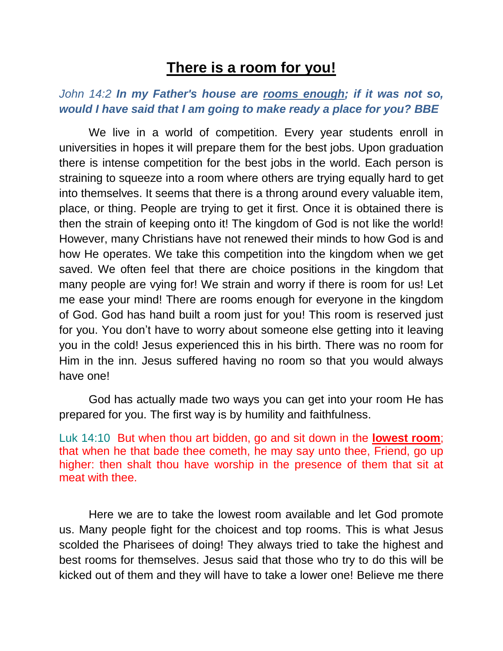## **There is a room for you!**

## *John 14:2 In my Father's house are rooms enough; if it was not so, would I have said that I am going to make ready a place for you? BBE*

We live in a world of competition. Every year students enroll in universities in hopes it will prepare them for the best jobs. Upon graduation there is intense competition for the best jobs in the world. Each person is straining to squeeze into a room where others are trying equally hard to get into themselves. It seems that there is a throng around every valuable item, place, or thing. People are trying to get it first. Once it is obtained there is then the strain of keeping onto it! The kingdom of God is not like the world! However, many Christians have not renewed their minds to how God is and how He operates. We take this competition into the kingdom when we get saved. We often feel that there are choice positions in the kingdom that many people are vying for! We strain and worry if there is room for us! Let me ease your mind! There are rooms enough for everyone in the kingdom of God. God has hand built a room just for you! This room is reserved just for you. You don't have to worry about someone else getting into it leaving you in the cold! Jesus experienced this in his birth. There was no room for Him in the inn. Jesus suffered having no room so that you would always have one!

God has actually made two ways you can get into your room He has prepared for you. The first way is by humility and faithfulness.

Luk 14:10 But when thou art bidden, go and sit down in the **lowest room**; that when he that bade thee cometh, he may say unto thee, Friend, go up higher: then shalt thou have worship in the presence of them that sit at meat with thee.

Here we are to take the lowest room available and let God promote us. Many people fight for the choicest and top rooms. This is what Jesus scolded the Pharisees of doing! They always tried to take the highest and best rooms for themselves. Jesus said that those who try to do this will be kicked out of them and they will have to take a lower one! Believe me there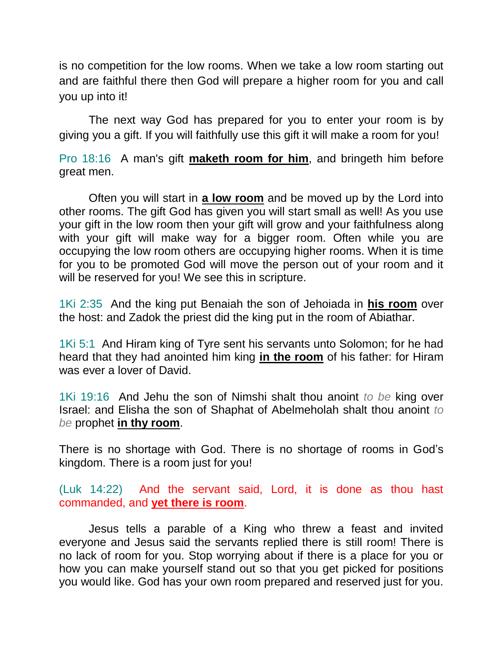is no competition for the low rooms. When we take a low room starting out and are faithful there then God will prepare a higher room for you and call you up into it!

The next way God has prepared for you to enter your room is by giving you a gift. If you will faithfully use this gift it will make a room for you!

Pro 18:16 A man's gift **maketh room for him**, and bringeth him before great men.

Often you will start in **a low room** and be moved up by the Lord into other rooms. The gift God has given you will start small as well! As you use your gift in the low room then your gift will grow and your faithfulness along with your gift will make way for a bigger room. Often while you are occupying the low room others are occupying higher rooms. When it is time for you to be promoted God will move the person out of your room and it will be reserved for you! We see this in scripture.

1Ki 2:35 And the king put Benaiah the son of Jehoiada in **his room** over the host: and Zadok the priest did the king put in the room of Abiathar.

1Ki 5:1 And Hiram king of Tyre sent his servants unto Solomon; for he had heard that they had anointed him king **in the room** of his father: for Hiram was ever a lover of David.

1Ki 19:16 And Jehu the son of Nimshi shalt thou anoint *to be* king over Israel: and Elisha the son of Shaphat of Abelmeholah shalt thou anoint *to be* prophet **in thy room**.

There is no shortage with God. There is no shortage of rooms in God's kingdom. There is a room just for you!

(Luk 14:22) And the servant said, Lord, it is done as thou hast commanded, and **yet there is room**.

Jesus tells a parable of a King who threw a feast and invited everyone and Jesus said the servants replied there is still room! There is no lack of room for you. Stop worrying about if there is a place for you or how you can make yourself stand out so that you get picked for positions you would like. God has your own room prepared and reserved just for you.